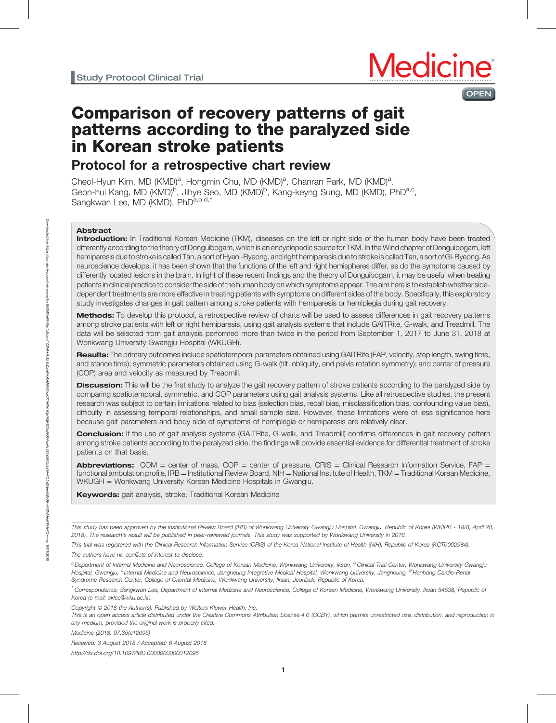



# Comparison of recovery patterns of gait patterns according to the paralyzed side in Korean stroke patients

# Protocol for a retrospective chart review

Cheol-Hyun Kim, MD (KMD)<sup>a</sup>, Hongmin Chu, MD (KMD)<sup>a</sup>, Chanran Park, MD (KMD)<sup>a</sup>, Geon-hui Kang, MD (KMD)<sup>b</sup>, Jihye Seo, MD (KMD)<sup>b</sup>, Kang-keyng Sung, MD (KMD), PhD<sup>a,c</sup>, Sangkwan Lee, MD (KMD), PhD<sup>a,b,d,\*</sup>

# Abstract

Introduction: In Traditional Korean Medicine (TKM), diseases on the left or right side of the human body have been treated differently according to the theory of Donguibogam, which is an encyclopedic source for TKM. In the Wind chapter of Donguibogam, left hemiparesis due to stroke is called Tan, a sort of Hyeol-Byeong, and right hemiparesis dueto stroke is called Tan, a sort of Gi-Byeong. As neuroscience develops, it has been shown that the functions of the left and right hemispheres differ, as do the symptoms caused by differently located lesions in the brain. In light of these recent findings and the theory of Donguibogam, it may be useful when treating patients in clinical practice to consider the side of the human body on which symptoms appear. The aim here is to establish whether sidedependent treatments are more effective in treating patients with symptoms on different sides of the body. Specifically, this exploratory study investigates changes in gait pattern among stroke patients with hemiparesis or hemiplegia during gait recovery.

Methods: To develop this protocol, a retrospective review of charts will be used to assess differences in gait recovery patterns among stroke patients with left or right hemiparesis, using gait analysis systems that include GAITRite, G-walk, and Treadmill. The data will be selected from gait analysis performed more than twice in the period from September 1, 2017 to June 31, 2018 at Wonkwang University Gwangju Hospital (WKUGH).

Results: The primary outcomes include spatiotemporal parameters obtained using GAITRite (FAP, velocity, step length, swing time, and stance time); symmetric parameters obtained using G-walk (tilt, obliquity, and pelvis rotation symmetry); and center of pressure (COP) area and velocity as measured by Treadmill.

Discussion: This will be the first study to analyze the gait recovery pattern of stroke patients according to the paralyzed side by comparing spatiotemporal, symmetric, and COP parameters using gait analysis systems. Like all retrospective studies, the present research was subject to certain limitations related to bias (selection bias, recall bias, misclassification bias, confounding value bias), difficulty in assessing temporal relationships, and small sample size. However, these limitations were of less significance here because gait parameters and body side of symptoms of hemiplegia or hemiparesis are relatively clear.

**Conclusion:** If the use of gait analysis systems (GAITRite, G-walk, and Treadmill) confirms differences in gait recovery pattern among stroke patients according to the paralyzed side, the findings will provide essential evidence for differential treatment of stroke patients on that basis.

**Abbreviations:** COM = center of mass, COP = center of pressure, CRIS = Clinical Research Information Service, FAP = functional ambulation profile, IRB = Institutional Review Board, NIH = National Institute of Health, TKM = Traditional Korean Medicine, WKUGH = Wonkwang University Korean Medicine Hospitals in Gwangju.

**Keywords:** gait analysis, stroke, Traditional Korean Medicine

This trial was registered with the Clinical Research Information Service (CRIS) of the Korea National Institute of Health (NIH), Republic of Korea (KCT0002984).

The authors have no conflicts of interest to disclose.

Medicine (2018) 97:35(e12095)

Received: 3 August 2018 / Accepted: 6 August 2018

<http://dx.doi.org/10.1097/MD.0000000000012095>

This study has been approved by the Institutional Review Board (IRB) of Wonkwang University Gwangju Hospital, Gwangju, Republic of Korea (WKIRB - 18/8, April 28, 2018). The research's result will be published in peer-reviewed journals. This study was supported by Wonkwang University in 2016.

a Department of Internal Medicine and Neuroscience, College of Korean Medicine, Wonkwang University, Iksan, <sup>b</sup> Clinical Trial Center, Wonkwang University Gwangju Hospital, Gwangju, <sup>c</sup> Internal Medicine and Neuroscience, Jangheung Integrative Medical Hospital, Wonkwang University, Jangheung, <sup>d</sup> Hanbang Cardio-Renal Syndrome Research Center, College of Oriental Medicine, Wonkwang University, Iksan, Jeonbuk, Republic of Korea.

<sup>∗</sup> Correspondence: Sangkwan Lee, Department of Internal Medicine and Neuroscience, College of Korean Medicine, Wonkwang University, Iksan 54538, Republic of Korea (e-mail: [sklee@wku.ac.kr\)](mailto:sklee@wku.ac.kr).

Copyright © 2018 the Author(s). Published by Wolters Kluwer Health, Inc.

This is an open access article distributed under the [Creative Commons Attribution License 4.0](http://creativecommons.org/licenses/by/4.0) (CCBY), which permits unrestricted use, distribution, and reproduction in any medium, provided the original work is properly cited.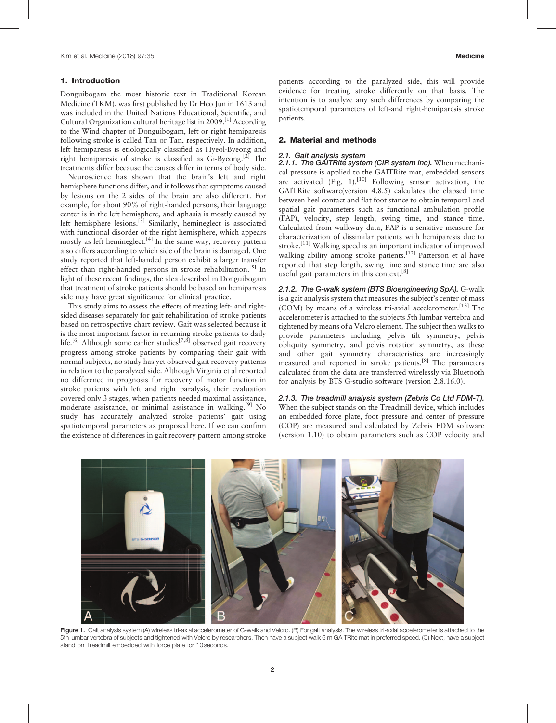#### 1. Introduction

Donguibogam the most historic text in Traditional Korean Medicine (TKM), was first published by Dr Heo Jun in 1613 and was included in the United Nations Educational, Scientific, and Cultural Organization cultural heritage list in 2009.[1] According to the Wind chapter of Donguibogam, left or right hemiparesis following stroke is called Tan or Tan, respectively. In addition, left hemiparesis is etiologically classified as Hyeol-Byeong and right hemiparesis of stroke is classified as Gi-Byeong.<sup>[2]</sup> The treatments differ because the causes differ in terms of body side.

Neuroscience has shown that the brain's left and right hemisphere functions differ, and it follows that symptoms caused by lesions on the 2 sides of the brain are also different. For example, for about 90% of right-handed persons, their language center is in the left hemisphere, and aphasia is mostly caused by left hemisphere lesions.<sup>[3]</sup> Similarly, hemineglect is associated with functional disorder of the right hemisphere, which appears mostly as left hemineglect.<sup>[4]</sup> In the same way, recovery pattern also differs according to which side of the brain is damaged. One study reported that left-handed person exhibit a larger transfer effect than right-handed persons in stroke rehabilitation.<sup>[5]</sup> In light of these recent findings, the idea described in Donguibogam that treatment of stroke patients should be based on hemiparesis side may have great significance for clinical practice.

This study aims to assess the effects of treating left- and rightsided diseases separately for gait rehabilitation of stroke patients based on retrospective chart review. Gait was selected because it is the most important factor in returning stroke patients to daily life.<sup>[6]</sup> Although some earlier studies<sup>[7,8]</sup> observed gait recovery progress among stroke patients by comparing their gait with normal subjects, no study has yet observed gait recovery patterns in relation to the paralyzed side. Although Virginia et al reported no difference in prognosis for recovery of motor function in stroke patients with left and right paralysis, their evaluation covered only 3 stages, when patients needed maximal assistance, moderate assistance, or minimal assistance in walking.<sup>[9]</sup> No study has accurately analyzed stroke patients' gait using spatiotemporal parameters as proposed here. If we can confirm the existence of differences in gait recovery pattern among stroke patients according to the paralyzed side, this will provide evidence for treating stroke differently on that basis. The intention is to analyze any such differences by comparing the spatiotemporal parameters of left-and right-hemiparesis stroke patients.

#### 2. Material and methods

#### 2.1. Gait analysis system

2.1.1. The GAITRite system (CIR system Inc). When mechanical pressure is applied to the GAITRite mat, embedded sensors are activated (Fig. 1).<sup>[10]</sup> Following sensor activation, the GAITRite software(version 4.8.5) calculates the elapsed time between heel contact and flat foot stance to obtain temporal and spatial gait parameters such as functional ambulation profile (FAP), velocity, step length, swing time, and stance time. Calculated from walkway data, FAP is a sensitive measure for characterization of dissimilar patients with hemiparesis due to stroke.[11] Walking speed is an important indicator of improved walking ability among stroke patients.<sup>[12]</sup> Patterson et al have reported that step length, swing time and stance time are also useful gait parameters in this context.[8]

2.1.2. The G-walk system (BTS Bioengineering SpA). G-walk is a gait analysis system that measures the subject's center of mass (COM) by means of a wireless tri-axial accelerometer.[13] The accelerometer is attached to the subjects 5th lumbar vertebra and tightened by means of a Velcro element. The subject then walks to provide parameters including pelvis tilt symmetry, pelvis obliquity symmetry, and pelvis rotation symmetry, as these and other gait symmetry characteristics are increasingly measured and reported in stroke patients.[8] The parameters calculated from the data are transferred wirelessly via Bluetooth for analysis by BTS G-studio software (version 2.8.16.0).

2.1.3. The treadmill analysis system (Zebris Co Ltd FDM-T). When the subject stands on the Treadmill device, which includes an embedded force plate, foot pressure and center of pressure (COP) are measured and calculated by Zebris FDM software (version 1.10) to obtain parameters such as COP velocity and



Figure 1. Gait analysis system (A) wireless tri-axial accelerometer of G-walk and Velcro. (B) For gait analysis. The wireless tri-axial accelerometer is attached to the 5th lumbar vertebra of subjects and tightened with Velcro by researchers. Then have a subject walk 6 m GAITRite mat in preferred speed. (C) Next, have a subject stand on Treadmill embedded with force plate for 10 seconds.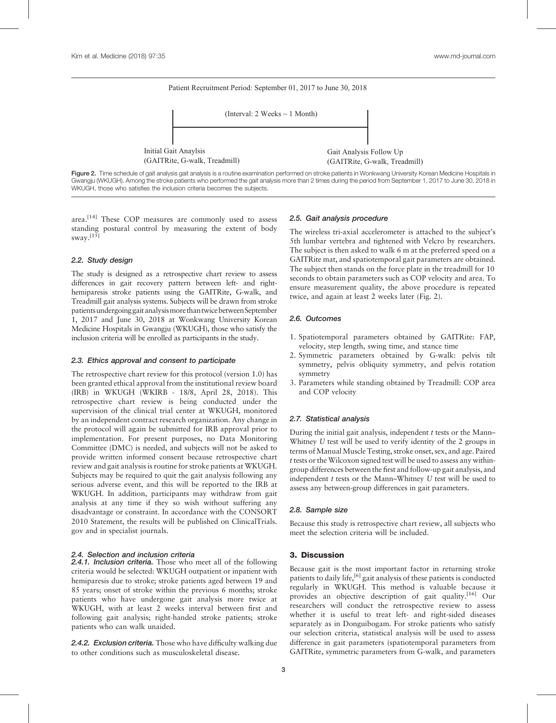



Figure 2. Time schedule of gait analysis gait analysis is a routine examination performed on stroke patients in Wonkwang University Korean Medicine Hospitals in Gwangju (WKUGH). Among the stroke patients who performed the gait analysis more than 2 times during the period from September 1, 2017 to June 30, 2018 in WKUGH, those who satisfies the inclusion criteria becomes the subjects.

area.<sup>[14]</sup> These COP measures are commonly used to assess standing postural control by measuring the extent of body sway.[15]

## 2.2. Study design

The study is designed as a retrospective chart review to assess differences in gait recovery pattern between left- and righthemiparesis stroke patients using the GAITRite, G-walk, and Treadmill gait analysis systems. Subjects will be drawn from stroke patients undergoing gait analysis more than twice between September 1, 2017 and June 30, 2018 at Wonkwang University Korean Medicine Hospitals in Gwangju (WKUGH), those who satisfy the inclusion criteria will be enrolled as participants in the study.

#### 2.3. Ethics approval and consent to participate

The retrospective chart review for this protocol (version 1.0) has been granted ethical approval from the institutional review board (IRB) in WKUGH (WKIRB - 18/8, April 28, 2018). This retrospective chart review is being conducted under the supervision of the clinical trial center at WKUGH, monitored by an independent contract research organization. Any change in the protocol will again be submitted for IRB approval prior to implementation. For present purposes, no Data Monitoring Committee (DMC) is needed, and subjects will not be asked to provide written informed consent because retrospective chart review and gait analysis is routine for stroke patients at WKUGH. Subjects may be required to quit the gait analysis following any serious adverse event, and this will be reported to the IRB at WKUGH. In addition, participants may withdraw from gait analysis at any time if they so wish without suffering any disadvantage or constraint. In accordance with the CONSORT 2010 Statement, the results will be published on ClinicalTrials. gov and in specialist journals.

### 2.4. Selection and inclusion criteria

**2.4.1. Inclusion criteria.** Those who meet all of the following criteria would be selected: WKUGH outpatient or inpatient with hemiparesis due to stroke; stroke patients aged between 19 and 85 years; onset of stroke within the previous 6 months; stroke patients who have undergone gait analysis more twice at WKUGH, with at least 2 weeks interval between first and following gait analysis; right-handed stroke patients; stroke patients who can walk unaided.

2.4.2. Exclusion criteria. Those who have difficulty walking due to other conditions such as musculoskeletal disease.

#### 2.5. Gait analysis procedure

The wireless tri-axial accelerometer is attached to the subject's 5th lumbar vertebra and tightened with Velcro by researchers. The subject is then asked to walk 6 m at the preferred speed on a GAITRite mat, and spatiotemporal gait parameters are obtained. The subject then stands on the force plate in the treadmill for 10 seconds to obtain parameters such as COP velocity and area. To ensure measurement quality, the above procedure is repeated twice, and again at least 2 weeks later (Fig. 2).

#### 2.6. Outcomes

- 1. Spatiotemporal parameters obtained by GAITRite: FAP, velocity, step length, swing time, and stance time
- 2. Symmetric parameters obtained by G-walk: pelvis tilt symmetry, pelvis obliquity symmetry, and pelvis rotation symmetry
- 3. Parameters while standing obtained by Treadmill: COP area and COP velocity

### 2.7. Statistical analysis

During the initial gait analysis, independent  $t$  tests or the Mann– Whitney U test will be used to verify identity of the 2 groups in terms of Manual Muscle Testing, stroke onset, sex, and age. Paired t tests or the Wilcoxon signed test will be used to assess any withingroup differences between the first and follow-up gait analysis, and independent  $t$  tests or the Mann–Whitney  $U$  test will be used to assess any between-group differences in gait parameters.

#### 2.8. Sample size

Because this study is retrospective chart review, all subjects who meet the selection criteria will be included.

### 3. Discussion

Because gait is the most important factor in returning stroke patients to daily life,<sup>[6]</sup> gait analysis of these patients is conducted regularly in WKUGH. This method is valuable because it provides an objective description of gait quality.<sup>[16]</sup> Our researchers will conduct the retrospective review to assess whether it is useful to treat left- and right-sided diseases separately as in Donguibogam. For stroke patients who satisfy our selection criteria, statistical analysis will be used to assess difference in gait parameters (spatiotemporal parameters from GAITRite, symmetric parameters from G-walk, and parameters